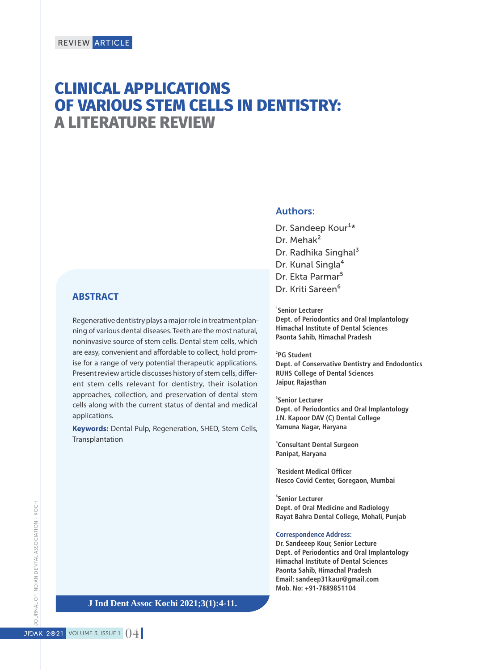# **CLINICAL APPLICATIONS OF VARIOUS STEM CELLS IN DENTISTRY: A LITERATURE REVIEW**

# **ABSTRACT**

Regenerative dentistry plays a major role in treatment planning of various dental diseases. Teeth are the most natural, noninvasive source of stem cells. Dental stem cells, which are easy, convenient and affordable to collect, hold promise for a range of very potential therapeutic applications. Present review article discusses history of stem cells, different stem cells relevant for dentistry, their isolation approaches, collection, and preservation of dental stem cells along with the current status of dental and medical applications.

**Keywords:** Dental Pulp, Regeneration, SHED, Stem Cells, Transplantation

# Authors:

Dr. Sandeep Kour<sup>1\*</sup> Dr. Mehak² Dr. Radhika Singhal<sup>3</sup> Dr. Kunal Singla<sup>4</sup> Dr. Ekta Parmar<sup>5</sup> Dr. Kriti Sareen<sup>6</sup>

**1 Senior Lecturer Dept. of Periodontics and Oral Implantology Himachal Institute of Dental Sciences Paonta Sahib, Himachal Pradesh**

**2 PG Student Dept. of Conservative Dentistry and Endodontics RUHS College of Dental Sciences Jaipur, Rajasthan**

**3 Senior Lecturer Dept. of Periodontics and Oral Implantology J.N. Kapoor DAV (C) Dental College Yamuna Nagar, Haryana**

**4 Consultant Dental Surgeon Panipat, Haryana**

**5 Resident Medical Officer Nesco Covid Center, Goregaon, Mumbai**

**6 Senior Lecturer Dept. of Oral Medicine and Radiology Rayat Bahra Dental College, Mohali, Punjab**

#### **Correspondence Address:**

**Dr. Sandeeep Kour, Senior Lecture Dept. of Periodontics and Oral Implantology Himachal Institute of Dental Sciences Paonta Sahib, Himachal Pradesh Email: sandeep31kaur@gmail.com Mob. No: +91-7889851104**

**J Ind Dent Assoc Kochi 2021;3(1):4-11.**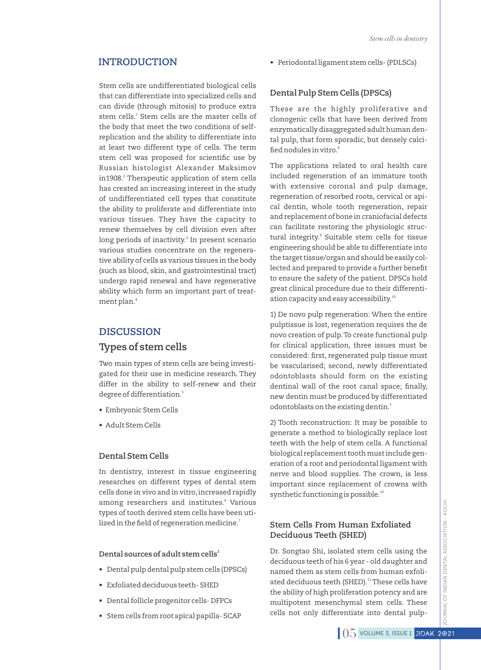Stem cells are undifferentiated biological cells that can differentiate into specialized cells and can divide (through mitosis) to produce extra stem cells.<sup>1</sup> Stem cells are the master cells of the body that meet the two conditions of selfreplication and the ability to differentiate into at least two different type of cells. The term stem cell was proposed for scientific use by Russian histologist Alexander Maksimov in1908.<sup>2</sup> Therapeutic application of stem cells has created an increasing interest in the study of undifferentiated cell types that constitute the ability to proliferate and differentiate into various tissues. They have the capacity to renew themselves by cell division even after long periods of inactivity.<sup>3</sup> In present scenario various studies concentrate on the regenerative ability of cells as various tissues in the body (such as blood, skin, and gastrointestinal tract) undergo rapid renewal and have regenerative ability which form an important part of treatment plan. $^{\rm 4}$ 

# **DISCUSSION**

# **Types of stem cells**

Two main types of stem cells are being investigated for their use in medicine research. They differ in the ability to self-renew and their degree of differentiation.<sup>5</sup>

- Embryonic Stem Cells
- Adult Stem Cells

# **Dental Stem Cells**

In dentistry, interest in tissue engineering researches on different types of dental stem cells done in vivo and in vitro, increased rapidly among researchers and institutes.<sup>6</sup> Various types of tooth derived stem cells have been utilized in the field of regeneration medicine. $^7$ 

#### **<sup>2</sup> Dental sources of adult stem cells**

- Dental pulp dental pulp stem cells (DPSCs)
- Exfoliated deciduous teeth- SHED
- Dental follicle progenitor cells- DFPCs
- Stem cells from root apical papilla- SCAP

**INTRODUCTION** • Periodontal ligament stem cells- (PDLSCs)

# **Dental Pulp Stem Cells (DPSCs)**

These are the highly proliferative and clonogenic cells that have been derived from enzymatically disaggregated adult human dental pulp, that form sporadic, but densely calci-8 ed nodules in vitro.

The applications related to oral health care included regeneration of an immature tooth with extensive coronal and pulp damage, regeneration of resorbed roots, cervical or apical dentin, whole tooth regeneration, repair and replacement of bone in craniofacial defects can facilitate restoring the physiologic structural integrity.<sup>9</sup> Suitable stem cells for tissue engineering should be able to differentiate into the target tissue/organ and should be easily collected and prepared to provide a further benefit to ensure the safety of the patient. DPSCs hold great clinical procedure due to their differentiation capacity and easy accessibility.<sup>10</sup>

1) De novo pulp regeneration: When the entire pulptissue is lost, regeneration requires the de novo creation of pulp.To create functional pulp for clinical application, three issues must be considered: first, regenerated pulp tissue must be vascularised; second, newly differentiated odontoblasts should form on the existing dentinal wall of the root canal space; finally, new dentin must be produced by differentiated odontoblasts on the existing dentin.<sup>5</sup>

2) Tooth reconstruction: It may be possible to generate a method to biologically replace lost teeth with the help of stem cells. A functional biological replacement tooth must include generation of a root and periodontal ligament with nerve and blood supplies. The crown, is less important since replacement of crowns with synthetic functioning is possible.<sup>10</sup>

# **Stem Cells From Human Exfoliated Deciduous Teeth (SHED)**

Dr. Songtao Shi, isolated stem cells using the deciduous teeth of his 6 year - old daughter and named them as stem cells from human exfoliated deciduous teeth (SHED).<sup>11</sup> These cells have the ability of high proliferation potency and are multipotent mesenchymal stem cells. These cells not only differentiate into dental pulp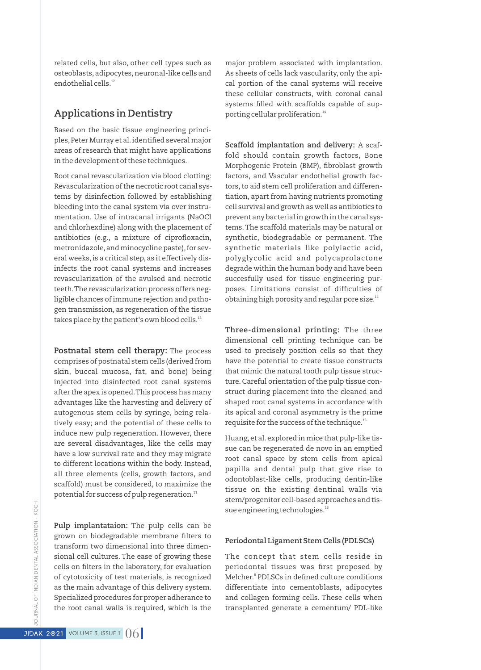related cells, but also, other cell types such as osteoblasts, adipocytes,neuronal-like cells and endothelial cells.<sup>12</sup>

# **Applications in Dentistry**

Based on the basic tissue engineering principles, Peter Murray et al. identified several major areas of research that might have applications in the development of these techniques.

Root canal revascularization via blood clotting: Revascularization of the necrotic root canal systems by disinfection followed by establishing bleeding into the canal system via over instrumentation. Use of intracanal irrigants (NaOCl and chlorhexdine) along with the placement of antibiotics (e.g., a mixture of ciprofloxacin, metronidazole, and minocycline paste), for several weeks, is a critical step, as it effectively disinfects the root canal systems and increases revascularization of the avulsed and necrotic teeth.The revascularization process offers negligible chances of immune rejection and pathogen transmission, as regeneration of the tissue takes place by the patient's own blood cells.<sup>13</sup>

**Postnatal stem cell therapy:** The process comprises of postnatal stem cells (derived from skin, buccal mucosa, fat, and bone) being injected into disinfected root canal systems after the apex is opened.This process has many advantages like the harvesting and delivery of autogenous stem cells by syringe, being relatively easy; and the potential of these cells to induce new pulp regeneration. However, there are several disadvantages, like the cells may have a low survival rate and they may migrate to different locations within the body. Instead, all three elements (cells, growth factors, and scaffold) must be considered, to maximize the potential for success of pulp regeneration.<sup>11</sup>

**Pulp implantataion:** The pulp cells can be grown on biodegradable membrane filters to transform two dimensional into three dimensional cell cultures. The ease of growing these cells on filters in the laboratory, for evaluation of cytotoxicity of test materials, is recognized as the main advantage of this delivery system. Specialized procedures for proper adherance to the root canal walls is required, which is the

major problem associated with implantation. As sheets of cells lack vascularity, only the apical portion of the canal systems will receive these cellular constructs, with coronal canal systems filled with scaffolds capable of supporting cellular proliferation.<sup>14</sup>

**Scaffold implantation and delivery:** A scaffold should contain growth factors, Bone Morphogenic Protein (BMP), fibroblast growth factors, and Vascular endothelial growth factors,to aid stem cell proliferation and differentiation, apart from having nutrients promoting cell survival and growth as well as antibiotics to prevent any bacterial in growth in the canal systems.The scaffold materials may be natural or synthetic, biodegradable or permanent. The synthetic materials like polylactic acid, polyglycolic acid and polycaprolactone degrade within the human body and have been succesfully used for tissue engineering purposes. Limitations consist of difficulties of obtaining high porosity and regular pore size. $11$ 

**Three-dimensional printing:** The three dimensional cell printing technique can be used to precisely position cells so that they have the potential to create tissue constructs that mimic the natural tooth pulp tissue structure. Careful orientation of the pulp tissue construct during placement into the cleaned and shaped root canal systems in accordance with its apical and coronal asymmetry is the prime requisite for the success of the technique.<sup>15</sup>

Huang, et al. explored in mice that pulp-like tissue can be regenerated de novo in an emptied root canal space by stem cells from apical papilla and dental pulp that give rise to odontoblast-like cells, producing dentin-like tissue on the existing dentinal walls via stem/progenitor cell-based approaches and tissue engineering technologies.<sup>16</sup>

### **Periodontal Ligament Stem Cells (PDLSCs)**

The concept that stem cells reside in periodontal tissues was first proposed by Melcher.<sup>6</sup> PDLSCs in defined culture conditions differentiate into cementoblasts, adipocytes and collagen forming cells. These cells when transplanted generate a cementum/ PDL-like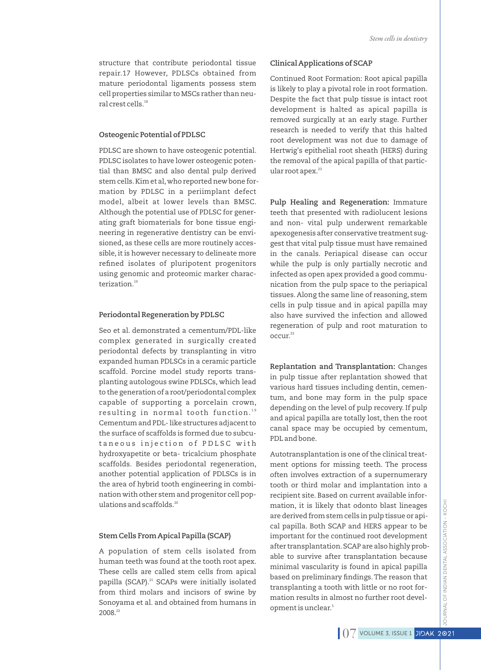structure that contribute periodontal tissue repair.17 However, PDLSCs obtained from mature periodontal ligaments possess stem cell properties similar to MSCs rather than neural crest cells.<sup>18</sup>

#### **Osteogenic Potential of PDLSC**

PDLSC are shown to have osteogenic potential. PDLSC isolates to have lower osteogenic potential than BMSC and also dental pulp derived stem cells.Kim et al,who reported new bone formation by PDLSC in a periimplant defect model, albeit at lower levels than BMSC. Although the potential use of PDLSC for generating graft biomaterials for bone tissue engineering in regenerative dentistry can be envisioned, as these cells are more routinely accessible, it is however necessary to delineate more refined isolates of pluripotent progenitors using genomic and proteomic marker characterization.<sup>19</sup>

#### **Periodontal Regeneration by PDLSC**

Seo et al. demonstrated a cementum/PDL-like complex generated in surgically created periodontal defects by transplanting in vitro expanded human PDLSCs in a ceramic particle scaffold. Porcine model study reports transplanting autologous swine PDLSCs, which lead to the generation of a root/periodontal complex capable of supporting a porcelain crown, resulting in normal tooth function." Cementum and PDL- like structures adjacent to the surface of scaffolds is formed due to subcutaneous injection of PDLSC with hydroxyapetite or beta- tricalcium phosphate scaffolds. Besides periodontal regeneration, another potential application of PDLSCs is in the area of hybrid tooth engineering in combination with other stem and progenitor cell populations and scaffolds.<sup>20</sup>

#### **Stem Cells From Apical Papilla (SCAP)**

A population of stem cells isolated from human teeth was found at the tooth root apex. These cells are called stem cells from apical papilla (SCAP).<sup>21</sup> SCAPs were initially isolated from third molars and incisors of swine by Sonoyama et al. and obtained from humans in 2008.22

#### **Clinical Applications of SCAP**

Continued Root Formation: Root apical papilla is likely to play a pivotal role in root formation. Despite the fact that pulp tissue is intact root development is halted as apical papilla is removed surgically at an early stage. Further research is needed to verify that this halted root development was not due to damage of Hertwig's epithelial root sheath (HERS) during the removal of the apical papilla of that particular root apex.<sup>23</sup>

**Pulp Healing and Regeneration:** Immature teeth that presented with radiolucent lesions and non- vital pulp underwent remarkable apexogenesis after conservative treatment suggest that vital pulp tissue must have remained in the canals. Periapical disease can occur while the pulp is only partially necrotic and infected as open apex provided a good communication from the pulp space to the periapical tissues. Along the same line of reasoning, stem cells in pulp tissue and in apical papilla may also have survived the infection and allowed regeneration of pulp and root maturation to <sup>23</sup> occur.

**Replantation and Transplantation:** Changes in pulp tissue after replantation showed that various hard tissues including dentin, cementum, and bone may form in the pulp space depending on the level of pulp recovery. If pulp and apical papilla are totally lost, then the root canal space may be occupied by cementum, PDL and bone.

Autotransplantation is one of the clinical treatment options for missing teeth. The process often involves extraction of a supernumerary tooth or third molar and implantation into a recipient site. Based on current available information, it is likely that odonto blast lineages are derived from stem cells in pulp tissue or apical papilla. Both SCAP and HERS appear to be important for the continued root development after transplantation.SCAP are also highly probable to survive after transplantation because minimal vascularity is found in apical papilla based on preliminary findings. The reason that transplanting a tooth with little or no root formation results in almost no further root development is unclear.<sup>5</sup>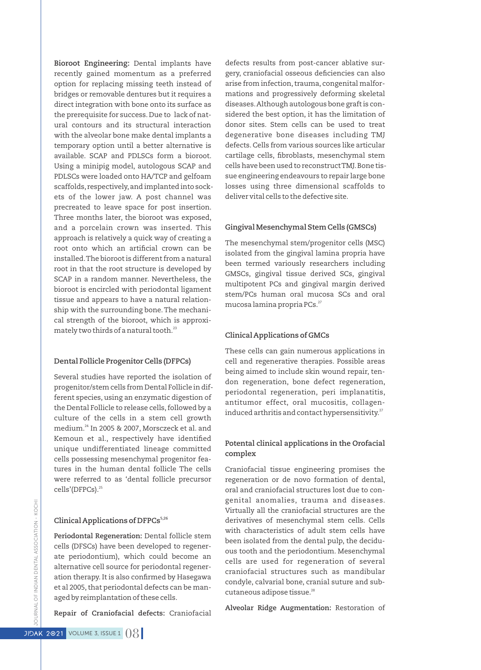**Bioroot Engineering:** Dental implants have recently gained momentum as a preferred option for replacing missing teeth instead of bridges or removable dentures but it requires a direct integration with bone onto its surface as the prerequisite for success. Due to lack of natural contours and its structural interaction with the alveolar bone make dental implants a temporary option until a better alternative is available. SCAP and PDLSCs form a bioroot. Using a minipig model, autologous SCAP and PDLSCs were loaded onto HA/TCP and gelfoam scaffolds, respectively,and implanted into sockets of the lower jaw. A post channel was precreated to leave space for post insertion. Three months later, the bioroot was exposed, and a porcelain crown was inserted. This approach is relatively a quick way of creating a root onto which an artificial crown can be installed.The bioroot is different from a natural root in that the root structure is developed by SCAP in a random manner. Nevertheless, the bioroot is encircled with periodontal ligament tissue and appears to have a natural relationship with the surrounding bone.The mechanical strength of the bioroot, which is approximately two thirds of a natural tooth.<sup>23</sup>

# **Dental Follicle Progenitor Cells (DFPCs)**

Several studies have reported the isolation of progenitor/stem cells from Dental Follicle in different species, using an enzymatic digestion of the Dental Follicle to release cells, followed by a culture of the cells in a stem cell growth medium.<sup>24</sup> In 2005 & 2007, Morsczeck et al. and Kemoun et al., respectively have identified unique undifferentiated lineage committed cells possessing mesenchymal progenitor features in the human dental follicle The cells were referred to as 'dental follicle precursor cells'(DFPCs).<sup>25</sup>

#### **5,26 Clinical Applications of DFPCs**

**Periodontal Regeneration:** Dental follicle stem cells (DFSCs) have been developed to regenerate periodontium), which could become an alternative cell source for periodontal regeneration therapy. It is also confirmed by Hasegawa et al 2005, that periodontal defects can be managed by reimplantation of these cells.

**Repair of Craniofacial defects:** Craniofacial

defects results from post-cancer ablative surgery, craniofacial osseous deficiencies can also arise from infection, trauma, congenital malformations and progressively deforming skeletal diseases.Although autologous bone graft is considered the best option, it has the limitation of donor sites. Stem cells can be used to treat degenerative bone diseases including TMJ defects.Cells from various sources like articular cartilage cells, fibroblasts, mesenchymal stem cells have been used to reconstruct TMJ.Bone tissue engineering endeavours to repair large bone losses using three dimensional scaffolds to deliver vital cells to the defective site.

#### **Gingival Mesenchymal Stem Cells (GMSCs)**

The mesenchymal stem/progenitor cells (MSC) isolated from the gingival lamina propria have been termed variously researchers including GMSCs, gingival tissue derived SCs, gingival multipotent PCs and gingival margin derived stem/PCs human oral mucosa SCs and oral mucosa lamina propria PCs.<sup>27</sup>

#### **Clinical Applications of GMCs**

These cells can gain numerous applications in cell and regenerative therapies. Possible areas being aimed to include skin wound repair, tendon regeneration, bone defect regeneration, periodontal regeneration, peri implanatitis, antitumor effect, oral mucositis, collageninduced arthritis and contact hypersensitivity.<sup>27</sup>

#### **Potental clinical applications in the Orofacial complex**

Craniofacial tissue engineering promises the regeneration or de novo formation of dental, oral and craniofacial structures lost due to congenital anomalies, trauma and diseases. Virtually all the craniofacial structures are the derivatives of mesenchymal stem cells. Cells with characteristics of adult stem cells have been isolated from the dental pulp, the deciduous tooth and the periodontium. Mesenchymal cells are used for regeneration of several craniofacial structures such as mandibular condyle, calvarial bone, cranial suture and subcutaneous adipose tissue.<sup>28</sup>

**Alveolar Ridge Augmentation:** Restoration of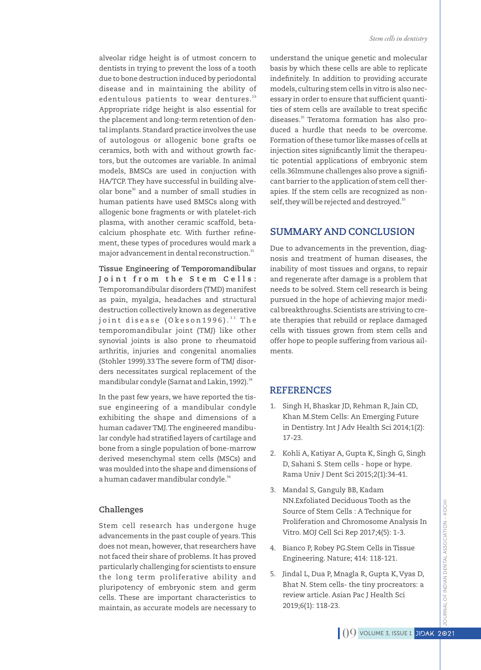alveolar ridge height is of utmost concern to dentists in trying to prevent the loss of a tooth due to bone destruction induced by periodontal disease and in maintaining the ability of edentulous patients to wear dentures.<sup>29</sup> Appropriate ridge height is also essential for the placement and long-term retention of dental implants. Standard practice involves the use of autologous or allogenic bone grafts oe ceramics, both with and without growth factors, but the outcomes are variable. In animal models, BMSCs are used in conjuction with HA/TCP.They have successful in building alveolar bone<sup>30</sup> and a number of small studies in human patients have used BMSCs along with allogenic bone fragments or with platelet-rich plasma, with another ceramic scaffold, betacalcium phosphate etc. With further refinement, these types of procedures would mark a major advancement in dental reconstruction.<sup>31</sup>

**Tissue Engineering of Temporomandibular J o i n t f r o m t h e S t e m C e l l s :** Temporomandibular disorders (TMD) manifest as pain, myalgia, headaches and structural destruction collectively known as degenerative joint disease (Okeson1996).<sup>32</sup> The temporomandibular joint (TMJ) like other synovial joints is also prone to rheumatoid arthritis, injuries and congenital anomalies (Stohler 1999).33 The severe form of TMJ disorders necessitates surgical replacement of the mandibular condyle (Sarnat and Lakin, 1992).<sup>34</sup>

In the past few years, we have reported the tissue engineering of a mandibular condyle exhibiting the shape and dimensions of a human cadaver TMJ.The engineered mandibular condyle had stratified layers of cartilage and bone from a single population of bone-marrow derived mesenchymal stem cells (MSCs) and was moulded into the shape and dimensions of a human cadaver mandibular condyle.<sup>34</sup>

#### **Challenges**

Stem cell research has undergone huge advancements in the past couple of years.This does not mean, however, that researchers have not faced their share of problems. It has proved particularly challenging for scientists to ensure the long term proliferative ability and pluripotency of embryonic stem and germ cells. These are important characteristics to maintain, as accurate models are necessary to

understand the unique genetic and molecular basis by which these cells are able to replicate indefinitely. In addition to providing accurate models, culturing stem cells in vitro is also necessary in order to ensure that sufficient quantities of stem cells are available to treat specific diseases.<sup>35</sup> Teratoma formation has also produced a hurdle that needs to be overcome. Formation of these tumor like masses of cells at injection sites significantly limit the therapeutic potential applications of embryonic stem cells.36Immune challenges also prove a significant barrier to the application of stem cell therapies. If the stem cells are recognized as nonself, they will be rejected and destroyed.<sup>35</sup>

# **SUMMARY AND CONCLUSION**

Due to advancements in the prevention, diagnosis and treatment of human diseases, the inability of most tissues and organs, to repair and regenerate after damage is a problem that needs to be solved. Stem cell research is being pursued in the hope of achieving major medical breakthroughs.Scientists are striving to create therapies that rebuild or replace damaged cells with tissues grown from stem cells and offer hope to people suffering from various ailments.

# **REFERENCES**

- 1. Singh H, Bhaskar JD, Rehman R, Jain CD, Khan M.Stem Cells: An Emerging Future in Dentistry. Int J Adv Health Sci 2014;1(2): 17-23.
- 2. Kohli A, Katiyar A, Gupta K, Singh G, Singh D, Sahani S. Stem cells - hope or hype. Rama Univ J Dent Sci 2015;2(1):34-41.
- 3. Mandal S, Ganguly BB, Kadam NN.Exfoliated Deciduous Tooth as the Source of Stem Cells : A Technique for Proliferation and Chromosome Analysis In Vitro. MOJ Cell Sci Rep 2017;4(5): 1-3.
- 4. Bianco P, Robey PG.Stem Cells in Tissue Engineering. Nature; 414: 118-121.
- 5. Jindal L, Dua P, Mnagla R, Gupta K, Vyas D, Bhat N. Stem cells- the tiny procreators: a review article. Asian Pac J Health Sci 2019;6(1): 118-23.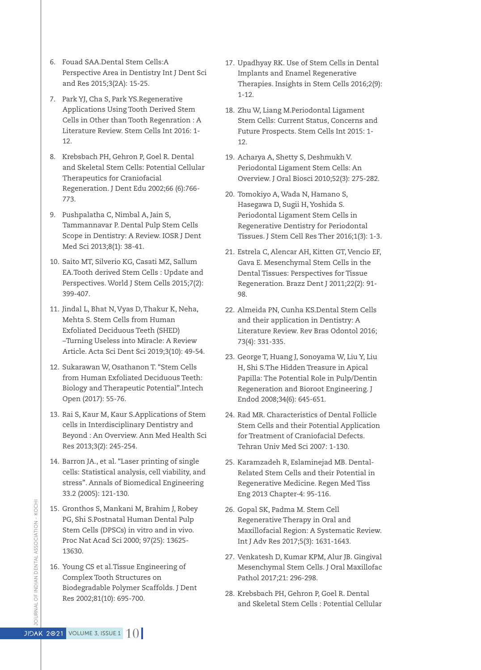- 6. Fouad SAA.Dental Stem Cells:A Perspective Area in Dentistry Int J Dent Sci and Res 2015;3(2A): 15-25.
- 7. Park YJ, Cha S, Park YS.Regenerative Applications Using Tooth Derived Stem Cells in Other than Tooth Regenration : A Literature Review. Stem Cells Int 2016: 1- 12.
- 8. Krebsbach PH, Gehron P, Goel R. Dental and Skeletal Stem Cells: Potential Cellular Therapeutics for Craniofacial Regeneration. J Dent Edu 2002;66 (6):766- 773.
- 9. Pushpalatha C, Nimbal A, Jain S, Tammannavar P. Dental Pulp Stem Cells Scope in Dentistry: A Review. IOSR J Dent Med Sci 2013;8(1): 38-41.
- 10. Saito MT, Silverio KG, Casati MZ, Sallum EA.Tooth derived Stem Cells : Update and Perspectives. World J Stem Cells 2015;7(2): 399-407.
- 11. Jindal L, Bhat N, Vyas D,Thakur K, Neha, Mehta S. Stem Cells from Human Exfoliated Deciduous Teeth (SHED) –Turning Useless into Miracle: A Review Article. Acta Sci Dent Sci 2019;3(10): 49-54.
- 12. Sukarawan W, Osathanon T. "Stem Cells from Human Exfoliated Deciduous Teeth: Biology and Therapeutic Potential".Intech Open (2017): 55-76.
- 13. Rai S, Kaur M, Kaur S.Applications of Stem cells in Interdisciplinary Dentistry and Beyond : An Overview. Ann Med Health Sci Res 2013;3(2): 245-254.
- 14. Barron JA., et al. "Laser printing of single cells: Statistical analysis, cell viability, and stress". Annals of Biomedical Engineering 33.2 (2005): 121-130.
- 15. Gronthos S, Mankani M, Brahim J, Robey PG, Shi S.Postnatal Human Dental Pulp Stem Cells (DPSCs) in vitro and in vivo. Proc Nat Acad Sci 2000; 97(25): 13625- 13630.
- 16. Young CS et al.Tissue Engineering of Complex Tooth Structures on Biodegradable Polymer Scaffolds. J Dent Res 2002;81(10): 695-700.
- 17. Upadhyay RK. Use of Stem Cells in Dental Implants and Enamel Regenerative Therapies. Insights in Stem Cells 2016;2(9): 1-12.
- 18. Zhu W, Liang M.Periodontal Ligament Stem Cells: Current Status, Concerns and Future Prospects. Stem Cells Int 2015: 1- 12
- 19. Acharya A, Shetty S, Deshmukh V. Periodontal Ligament Stem Cells: An Overview. J Oral Biosci 2010;52(3): 275-282.
- 20. Tomokiyo A, Wada N, Hamano S, Hasegawa D, Sugii H, Yoshida S. Periodontal Ligament Stem Cells in Regenerative Dentistry for Periodontal Tissues. J Stem Cell Res Ther 2016;1(3): 1-3.
- 21. Estrela C, Alencar AH, Kitten GT, Vencio EF, Gava E. Mesenchymal Stem Cells in the Dental Tissues: Perspectives for Tissue Regeneration. Brazz Dent J 2011;22(2): 91- 98.
- 22. Almeida PN, Cunha KS.Dental Stem Cells and their application in Dentistry: A Literature Review. Rev Bras Odontol 2016; 73(4): 331-335.
- 23. George T, Huang J, Sonoyama W, Liu Y, Liu H, Shi S.The Hidden Treasure in Apical Papilla: The Potential Role in Pulp/Dentin Regeneration and Bioroot Engineering. J Endod 2008;34(6): 645-651.
- 24. Rad MR. Characteristics of Dental Follicle Stem Cells and their Potential Application for Treatment of Craniofacial Defects. Tehran Univ Med Sci 2007: 1-130.
- 25. Karamzadeh R, Eslaminejad MB. Dental-Related Stem Cells and their Potential in Regenerative Medicine. Regen Med Tiss Eng 2013 Chapter-4: 95-116.
- 26. Gopal SK, Padma M. Stem Cell Regenerative Therapy in Oral and Maxillofacial Region: A Systematic Review. Int J Adv Res 2017;5(3): 1631-1643.
- 27. Venkatesh D, Kumar KPM, Alur JB. Gingival Mesenchymal Stem Cells. J Oral Maxillofac Pathol 2017;21: 296-298.
- 28. Krebsbach PH, Gehron P, Goel R. Dental and Skeletal Stem Cells : Potential Cellular